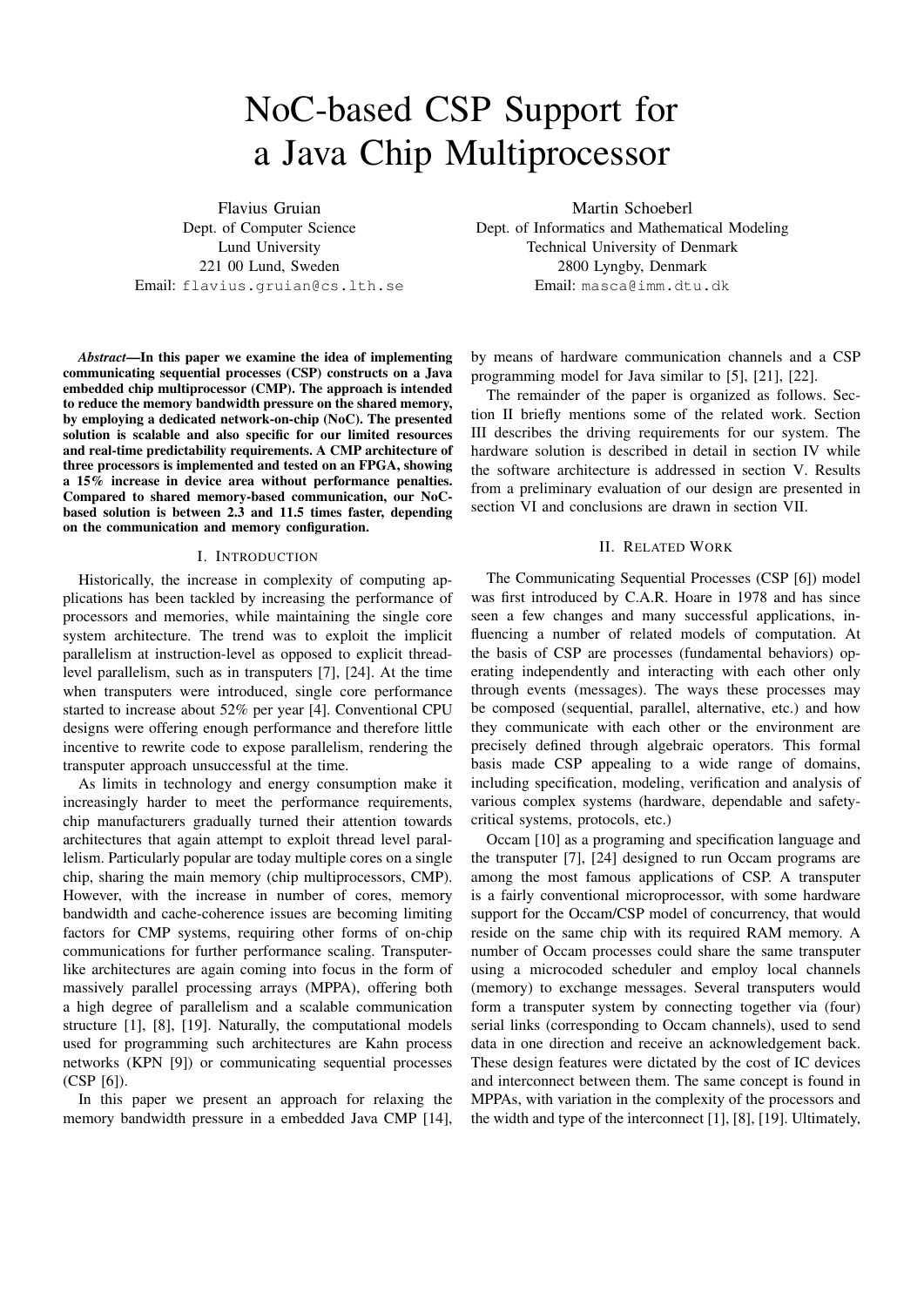# NoC-based CSP Support for a Java Chip Multiprocessor

Flavius Gruian Dept. of Computer Science Lund University 221 00 Lund, Sweden Email: flavius.gruian@cs.lth.se

*Abstract*—In this paper we examine the idea of implementing communicating sequential processes (CSP) constructs on a Java embedded chip multiprocessor (CMP). The approach is intended to reduce the memory bandwidth pressure on the shared memory, by employing a dedicated network-on-chip (NoC). The presented solution is scalable and also specific for our limited resources and real-time predictability requirements. A CMP architecture of three processors is implemented and tested on an FPGA, showing a 15% increase in device area without performance penalties. Compared to shared memory-based communication, our NoCbased solution is between 2.3 and 11.5 times faster, depending on the communication and memory configuration.

## I. INTRODUCTION

Historically, the increase in complexity of computing applications has been tackled by increasing the performance of processors and memories, while maintaining the single core system architecture. The trend was to exploit the implicit parallelism at instruction-level as opposed to explicit threadlevel parallelism, such as in transputers [7], [24]. At the time when transputers were introduced, single core performance started to increase about 52% per year [4]. Conventional CPU designs were offering enough performance and therefore little incentive to rewrite code to expose parallelism, rendering the transputer approach unsuccessful at the time.

As limits in technology and energy consumption make it increasingly harder to meet the performance requirements, chip manufacturers gradually turned their attention towards architectures that again attempt to exploit thread level parallelism. Particularly popular are today multiple cores on a single chip, sharing the main memory (chip multiprocessors, CMP). However, with the increase in number of cores, memory bandwidth and cache-coherence issues are becoming limiting factors for CMP systems, requiring other forms of on-chip communications for further performance scaling. Transputerlike architectures are again coming into focus in the form of massively parallel processing arrays (MPPA), offering both a high degree of parallelism and a scalable communication structure [1], [8], [19]. Naturally, the computational models used for programming such architectures are Kahn process networks (KPN [9]) or communicating sequential processes (CSP [6]).

In this paper we present an approach for relaxing the memory bandwidth pressure in a embedded Java CMP [14],

Martin Schoeberl Dept. of Informatics and Mathematical Modeling Technical University of Denmark 2800 Lyngby, Denmark Email: masca@imm.dtu.dk

by means of hardware communication channels and a CSP programming model for Java similar to [5], [21], [22].

The remainder of the paper is organized as follows. Section II briefly mentions some of the related work. Section III describes the driving requirements for our system. The hardware solution is described in detail in section IV while the software architecture is addressed in section V. Results from a preliminary evaluation of our design are presented in section VI and conclusions are drawn in section VII.

#### II. RELATED WORK

The Communicating Sequential Processes (CSP [6]) model was first introduced by C.A.R. Hoare in 1978 and has since seen a few changes and many successful applications, influencing a number of related models of computation. At the basis of CSP are processes (fundamental behaviors) operating independently and interacting with each other only through events (messages). The ways these processes may be composed (sequential, parallel, alternative, etc.) and how they communicate with each other or the environment are precisely defined through algebraic operators. This formal basis made CSP appealing to a wide range of domains, including specification, modeling, verification and analysis of various complex systems (hardware, dependable and safetycritical systems, protocols, etc.)

Occam [10] as a programing and specification language and the transputer [7], [24] designed to run Occam programs are among the most famous applications of CSP. A transputer is a fairly conventional microprocessor, with some hardware support for the Occam/CSP model of concurrency, that would reside on the same chip with its required RAM memory. A number of Occam processes could share the same transputer using a microcoded scheduler and employ local channels (memory) to exchange messages. Several transputers would form a transputer system by connecting together via (four) serial links (corresponding to Occam channels), used to send data in one direction and receive an acknowledgement back. These design features were dictated by the cost of IC devices and interconnect between them. The same concept is found in MPPAs, with variation in the complexity of the processors and the width and type of the interconnect [1], [8], [19]. Ultimately,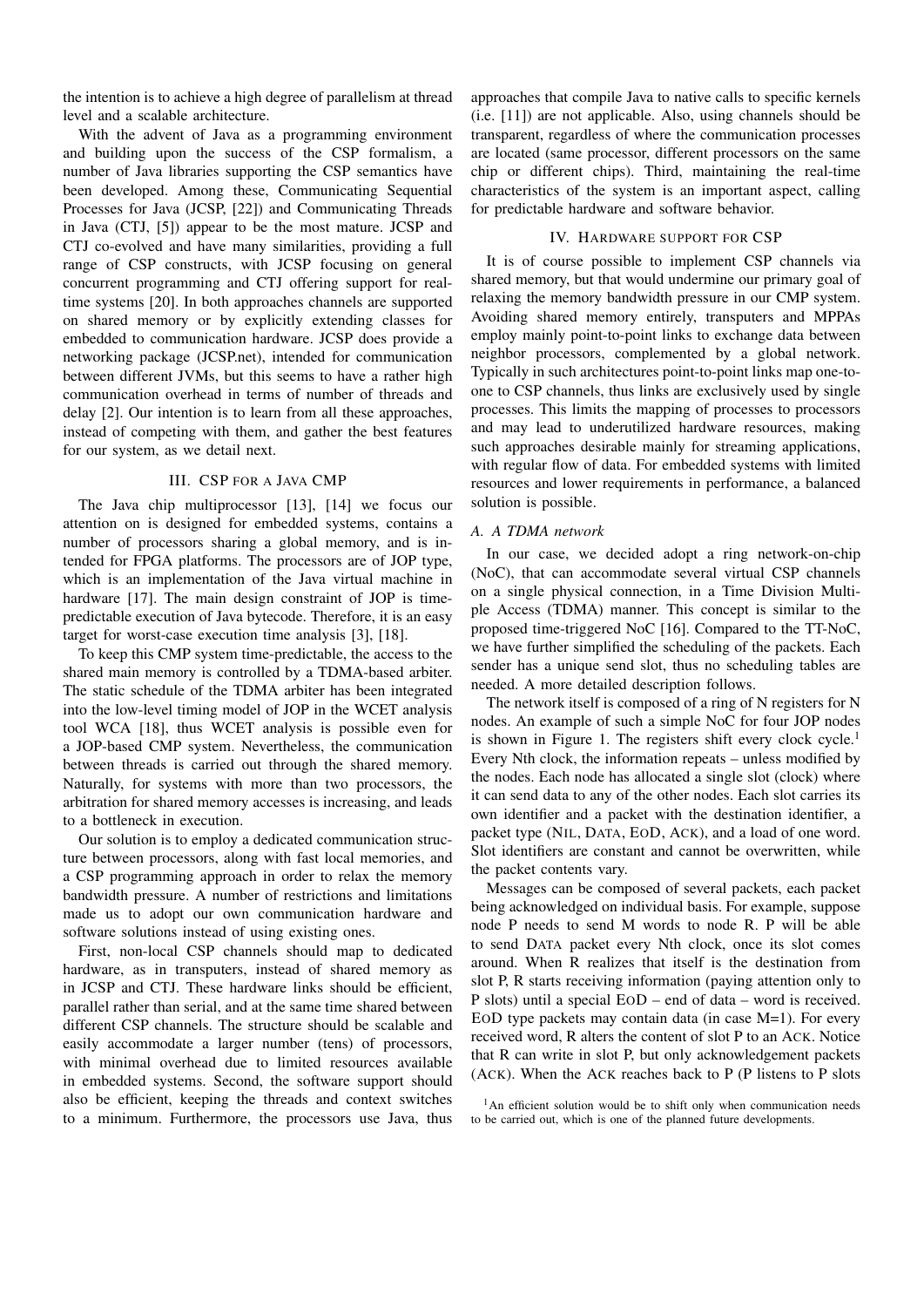the intention is to achieve a high degree of parallelism at thread level and a scalable architecture.

With the advent of Java as a programming environment and building upon the success of the CSP formalism, a number of Java libraries supporting the CSP semantics have been developed. Among these, Communicating Sequential Processes for Java (JCSP, [22]) and Communicating Threads in Java (CTJ, [5]) appear to be the most mature. JCSP and CTJ co-evolved and have many similarities, providing a full range of CSP constructs, with JCSP focusing on general concurrent programming and CTJ offering support for realtime systems [20]. In both approaches channels are supported on shared memory or by explicitly extending classes for embedded to communication hardware. JCSP does provide a networking package (JCSP.net), intended for communication between different JVMs, but this seems to have a rather high communication overhead in terms of number of threads and delay [2]. Our intention is to learn from all these approaches, instead of competing with them, and gather the best features for our system, as we detail next.

## III. CSP FOR A JAVA CMP

The Java chip multiprocessor [13], [14] we focus our attention on is designed for embedded systems, contains a number of processors sharing a global memory, and is intended for FPGA platforms. The processors are of JOP type, which is an implementation of the Java virtual machine in hardware [17]. The main design constraint of JOP is timepredictable execution of Java bytecode. Therefore, it is an easy target for worst-case execution time analysis [3], [18].

To keep this CMP system time-predictable, the access to the shared main memory is controlled by a TDMA-based arbiter. The static schedule of the TDMA arbiter has been integrated into the low-level timing model of JOP in the WCET analysis tool WCA [18], thus WCET analysis is possible even for a JOP-based CMP system. Nevertheless, the communication between threads is carried out through the shared memory. Naturally, for systems with more than two processors, the arbitration for shared memory accesses is increasing, and leads to a bottleneck in execution.

Our solution is to employ a dedicated communication structure between processors, along with fast local memories, and a CSP programming approach in order to relax the memory bandwidth pressure. A number of restrictions and limitations made us to adopt our own communication hardware and software solutions instead of using existing ones.

First, non-local CSP channels should map to dedicated hardware, as in transputers, instead of shared memory as in JCSP and CTJ. These hardware links should be efficient, parallel rather than serial, and at the same time shared between different CSP channels. The structure should be scalable and easily accommodate a larger number (tens) of processors, with minimal overhead due to limited resources available in embedded systems. Second, the software support should also be efficient, keeping the threads and context switches to a minimum. Furthermore, the processors use Java, thus

approaches that compile Java to native calls to specific kernels (i.e. [11]) are not applicable. Also, using channels should be transparent, regardless of where the communication processes are located (same processor, different processors on the same chip or different chips). Third, maintaining the real-time characteristics of the system is an important aspect, calling for predictable hardware and software behavior.

## IV. HARDWARE SUPPORT FOR CSP

It is of course possible to implement CSP channels via shared memory, but that would undermine our primary goal of relaxing the memory bandwidth pressure in our CMP system. Avoiding shared memory entirely, transputers and MPPAs employ mainly point-to-point links to exchange data between neighbor processors, complemented by a global network. Typically in such architectures point-to-point links map one-toone to CSP channels, thus links are exclusively used by single processes. This limits the mapping of processes to processors and may lead to underutilized hardware resources, making such approaches desirable mainly for streaming applications, with regular flow of data. For embedded systems with limited resources and lower requirements in performance, a balanced solution is possible.

### *A. A TDMA network*

In our case, we decided adopt a ring network-on-chip (NoC), that can accommodate several virtual CSP channels on a single physical connection, in a Time Division Multiple Access (TDMA) manner. This concept is similar to the proposed time-triggered NoC [16]. Compared to the TT-NoC, we have further simplified the scheduling of the packets. Each sender has a unique send slot, thus no scheduling tables are needed. A more detailed description follows.

The network itself is composed of a ring of N registers for N nodes. An example of such a simple NoC for four JOP nodes is shown in Figure 1. The registers shift every clock cycle.<sup>1</sup> Every Nth clock, the information repeats – unless modified by the nodes. Each node has allocated a single slot (clock) where it can send data to any of the other nodes. Each slot carries its own identifier and a packet with the destination identifier, a packet type (NIL, DATA, EOD, ACK), and a load of one word. Slot identifiers are constant and cannot be overwritten, while the packet contents vary.

Messages can be composed of several packets, each packet being acknowledged on individual basis. For example, suppose node P needs to send M words to node R. P will be able to send DATA packet every Nth clock, once its slot comes around. When R realizes that itself is the destination from slot P, R starts receiving information (paying attention only to P slots) until a special EOD – end of data – word is received. EOD type packets may contain data (in case M=1). For every received word, R alters the content of slot P to an ACK. Notice that R can write in slot P, but only acknowledgement packets (ACK). When the ACK reaches back to P (P listens to P slots

<sup>&</sup>lt;sup>1</sup>An efficient solution would be to shift only when communication needs to be carried out, which is one of the planned future developments.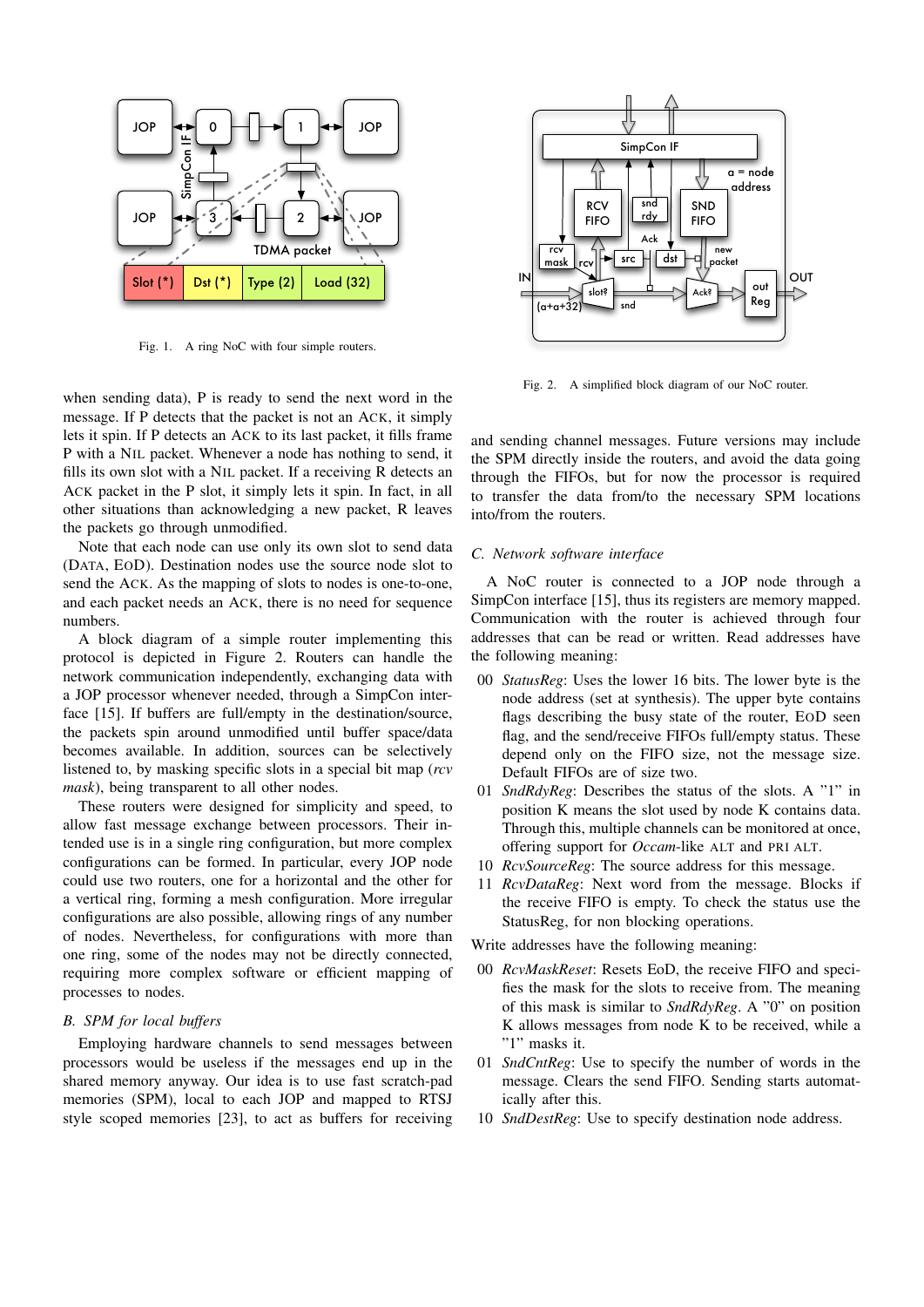

Fig. 1. A ring NoC with four simple routers.

when sending data), P is ready to send the next word in the message. If P detects that the packet is not an ACK, it simply lets it spin. If P detects an ACK to its last packet, it fills frame P with a NIL packet. Whenever a node has nothing to send, it fills its own slot with a NIL packet. If a receiving R detects an ACK packet in the P slot, it simply lets it spin. In fact, in all other situations than acknowledging a new packet, R leaves the packets go through unmodified.

Note that each node can use only its own slot to send data (DATA, EOD). Destination nodes use the source node slot to send the ACK. As the mapping of slots to nodes is one-to-one, and each packet needs an ACK, there is no need for sequence numbers.

A block diagram of a simple router implementing this protocol is depicted in Figure 2. Routers can handle the network communication independently, exchanging data with a JOP processor whenever needed, through a SimpCon interface [15]. If buffers are full/empty in the destination/source, the packets spin around unmodified until buffer space/data becomes available. In addition, sources can be selectively listened to, by masking specific slots in a special bit map (*rcv mask*), being transparent to all other nodes.

These routers were designed for simplicity and speed, to allow fast message exchange between processors. Their intended use is in a single ring configuration, but more complex configurations can be formed. In particular, every JOP node could use two routers, one for a horizontal and the other for a vertical ring, forming a mesh configuration. More irregular configurations are also possible, allowing rings of any number of nodes. Nevertheless, for configurations with more than one ring, some of the nodes may not be directly connected, requiring more complex software or efficient mapping of processes to nodes.

## *B. SPM for local buffers*

Employing hardware channels to send messages between processors would be useless if the messages end up in the shared memory anyway. Our idea is to use fast scratch-pad memories (SPM), local to each JOP and mapped to RTSJ style scoped memories [23], to act as buffers for receiving



Fig. 2. A simplified block diagram of our NoC router.

and sending channel messages. Future versions may include the SPM directly inside the routers, and avoid the data going through the FIFOs, but for now the processor is required to transfer the data from/to the necessary SPM locations into/from the routers.

## *C. Network software interface*

A NoC router is connected to a JOP node through a SimpCon interface [15], thus its registers are memory mapped. Communication with the router is achieved through four addresses that can be read or written. Read addresses have the following meaning:

- 00 *StatusReg*: Uses the lower 16 bits. The lower byte is the node address (set at synthesis). The upper byte contains flags describing the busy state of the router, EOD seen flag, and the send/receive FIFOs full/empty status. These depend only on the FIFO size, not the message size. Default FIFOs are of size two.
- 01 *SndRdyReg*: Describes the status of the slots. A "1" in position K means the slot used by node K contains data. Through this, multiple channels can be monitored at once, offering support for *Occam*-like ALT and PRI ALT.
- 10 *RcvSourceReg*: The source address for this message.
- 11 *RcvDataReg*: Next word from the message. Blocks if the receive FIFO is empty. To check the status use the StatusReg, for non blocking operations.

Write addresses have the following meaning:

- 00 *RcvMaskReset*: Resets EoD, the receive FIFO and specifies the mask for the slots to receive from. The meaning of this mask is similar to *SndRdyReg*. A "0" on position K allows messages from node K to be received, while a "1" masks it.
- 01 *SndCntReg*: Use to specify the number of words in the message. Clears the send FIFO. Sending starts automatically after this.
- 10 *SndDestReg*: Use to specify destination node address.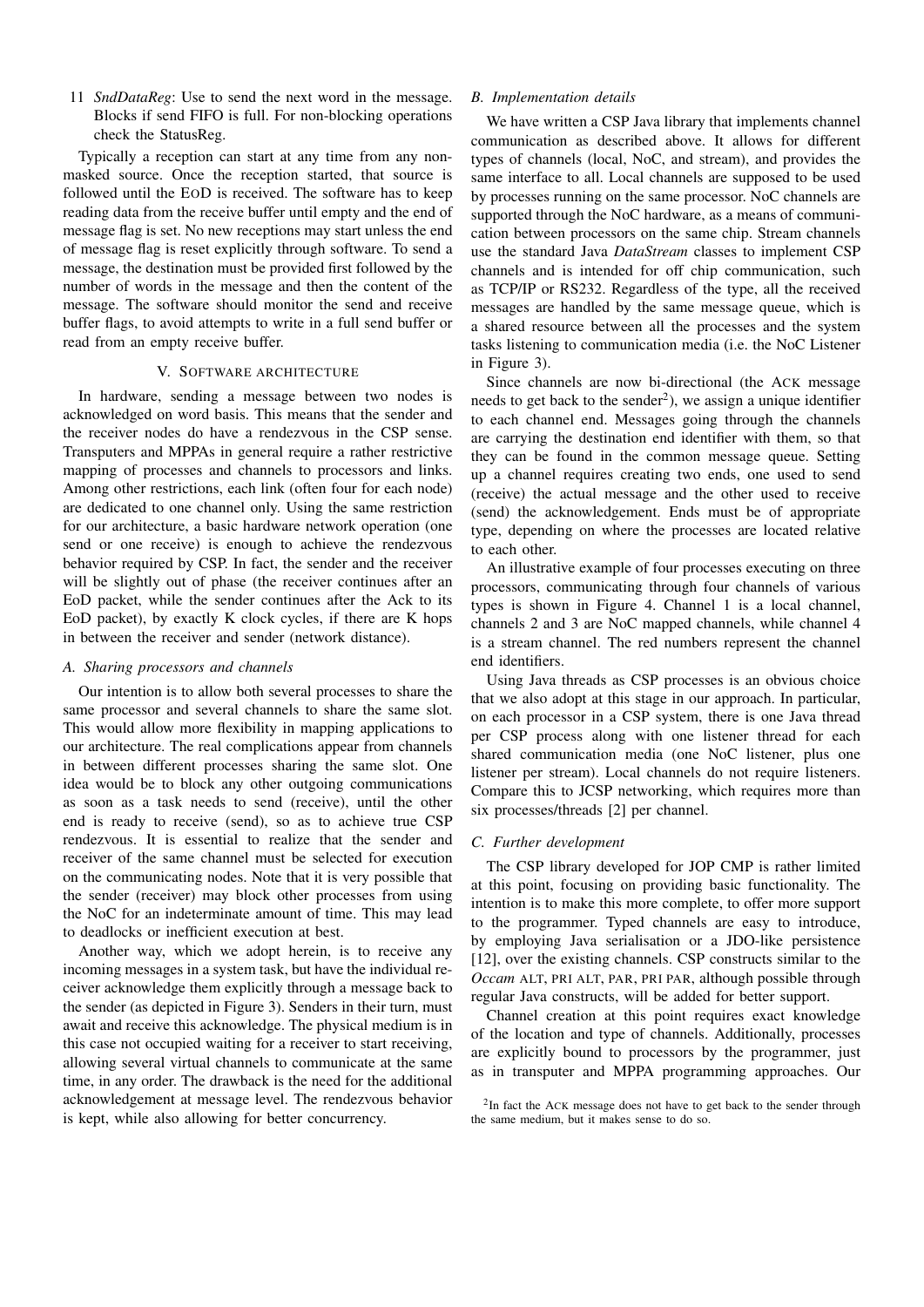11 *SndDataReg*: Use to send the next word in the message. Blocks if send FIFO is full. For non-blocking operations check the StatusReg.

Typically a reception can start at any time from any nonmasked source. Once the reception started, that source is followed until the EOD is received. The software has to keep reading data from the receive buffer until empty and the end of message flag is set. No new receptions may start unless the end of message flag is reset explicitly through software. To send a message, the destination must be provided first followed by the number of words in the message and then the content of the message. The software should monitor the send and receive buffer flags, to avoid attempts to write in a full send buffer or read from an empty receive buffer.

# V. SOFTWARE ARCHITECTURE

In hardware, sending a message between two nodes is acknowledged on word basis. This means that the sender and the receiver nodes do have a rendezvous in the CSP sense. Transputers and MPPAs in general require a rather restrictive mapping of processes and channels to processors and links. Among other restrictions, each link (often four for each node) are dedicated to one channel only. Using the same restriction for our architecture, a basic hardware network operation (one send or one receive) is enough to achieve the rendezvous behavior required by CSP. In fact, the sender and the receiver will be slightly out of phase (the receiver continues after an EoD packet, while the sender continues after the Ack to its EoD packet), by exactly K clock cycles, if there are K hops in between the receiver and sender (network distance).

# *A. Sharing processors and channels*

Our intention is to allow both several processes to share the same processor and several channels to share the same slot. This would allow more flexibility in mapping applications to our architecture. The real complications appear from channels in between different processes sharing the same slot. One idea would be to block any other outgoing communications as soon as a task needs to send (receive), until the other end is ready to receive (send), so as to achieve true CSP rendezvous. It is essential to realize that the sender and receiver of the same channel must be selected for execution on the communicating nodes. Note that it is very possible that the sender (receiver) may block other processes from using the NoC for an indeterminate amount of time. This may lead to deadlocks or inefficient execution at best.

Another way, which we adopt herein, is to receive any incoming messages in a system task, but have the individual receiver acknowledge them explicitly through a message back to the sender (as depicted in Figure 3). Senders in their turn, must await and receive this acknowledge. The physical medium is in this case not occupied waiting for a receiver to start receiving, allowing several virtual channels to communicate at the same time, in any order. The drawback is the need for the additional acknowledgement at message level. The rendezvous behavior is kept, while also allowing for better concurrency.

## *B. Implementation details*

We have written a CSP Java library that implements channel communication as described above. It allows for different types of channels (local, NoC, and stream), and provides the same interface to all. Local channels are supposed to be used by processes running on the same processor. NoC channels are supported through the NoC hardware, as a means of communication between processors on the same chip. Stream channels use the standard Java *DataStream* classes to implement CSP channels and is intended for off chip communication, such as TCP/IP or RS232. Regardless of the type, all the received messages are handled by the same message queue, which is a shared resource between all the processes and the system tasks listening to communication media (i.e. the NoC Listener in Figure 3).

Since channels are now bi-directional (the ACK message needs to get back to the sender<sup>2</sup>), we assign a unique identifier to each channel end. Messages going through the channels are carrying the destination end identifier with them, so that they can be found in the common message queue. Setting up a channel requires creating two ends, one used to send (receive) the actual message and the other used to receive (send) the acknowledgement. Ends must be of appropriate type, depending on where the processes are located relative to each other.

An illustrative example of four processes executing on three processors, communicating through four channels of various types is shown in Figure 4. Channel 1 is a local channel, channels 2 and 3 are NoC mapped channels, while channel 4 is a stream channel. The red numbers represent the channel end identifiers.

Using Java threads as CSP processes is an obvious choice that we also adopt at this stage in our approach. In particular, on each processor in a CSP system, there is one Java thread per CSP process along with one listener thread for each shared communication media (one NoC listener, plus one listener per stream). Local channels do not require listeners. Compare this to JCSP networking, which requires more than six processes/threads [2] per channel.

#### *C. Further development*

The CSP library developed for JOP CMP is rather limited at this point, focusing on providing basic functionality. The intention is to make this more complete, to offer more support to the programmer. Typed channels are easy to introduce, by employing Java serialisation or a JDO-like persistence [12], over the existing channels. CSP constructs similar to the *Occam* ALT, PRI ALT, PAR, PRI PAR, although possible through regular Java constructs, will be added for better support.

Channel creation at this point requires exact knowledge of the location and type of channels. Additionally, processes are explicitly bound to processors by the programmer, just as in transputer and MPPA programming approaches. Our

<sup>&</sup>lt;sup>2</sup>In fact the ACK message does not have to get back to the sender through the same medium, but it makes sense to do so.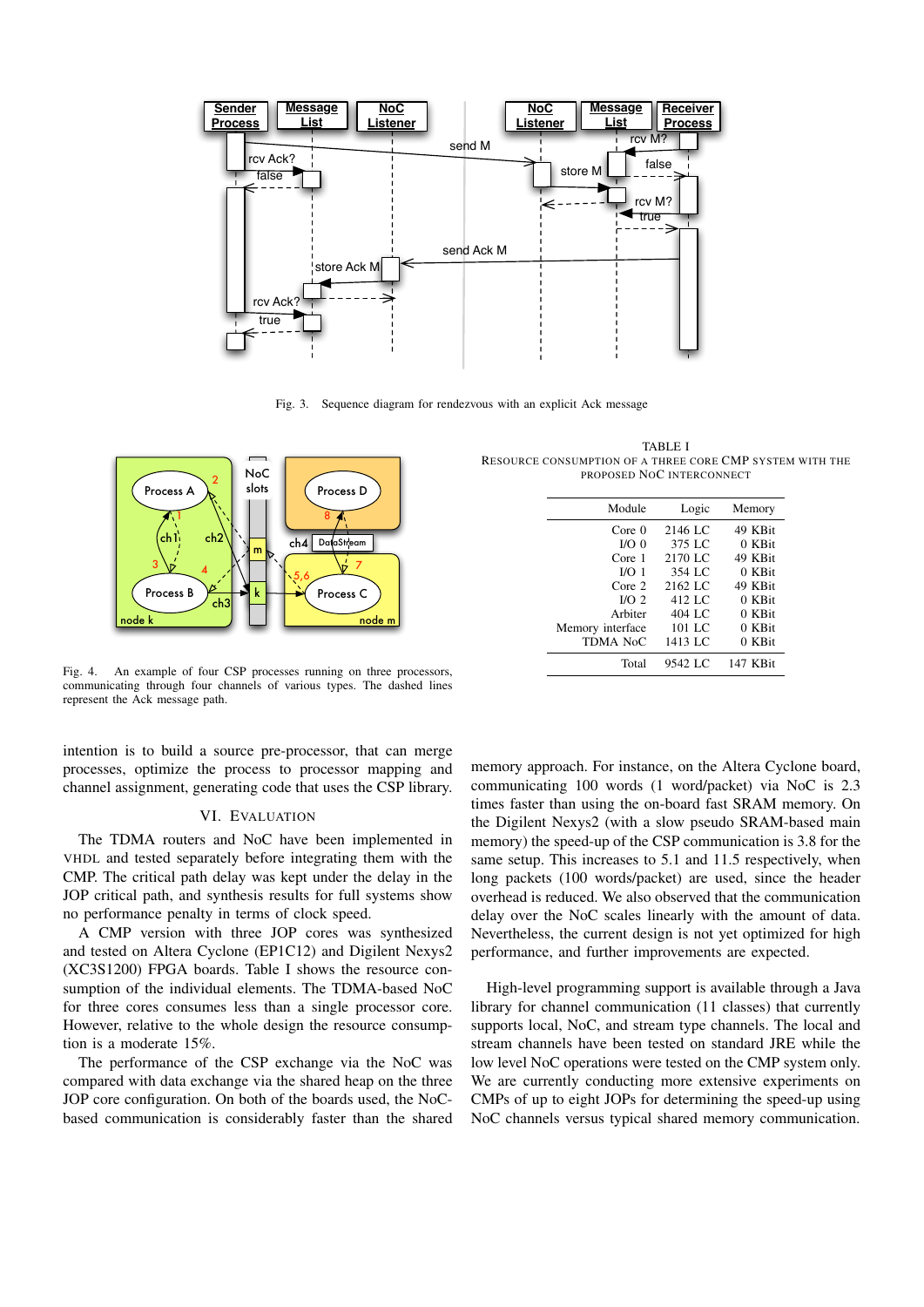

Fig. 3. Sequence diagram for rendezvous with an explicit Ack message



Fig. 4. An example of four CSP processes running on three processors, communicating through four channels of various types. The dashed lines represent the Ack message path.

intention is to build a source pre-processor, that can merge processes, optimize the process to processor mapping and channel assignment, generating code that uses the CSP library.

# VI. EVALUATION

The TDMA routers and NoC have been implemented in VHDL and tested separately before integrating them with the CMP. The critical path delay was kept under the delay in the JOP critical path, and synthesis results for full systems show no performance penalty in terms of clock speed.

A CMP version with three JOP cores was synthesized and tested on Altera Cyclone (EP1C12) and Digilent Nexys2 (XC3S1200) FPGA boards. Table I shows the resource consumption of the individual elements. The TDMA-based NoC for three cores consumes less than a single processor core. However, relative to the whole design the resource consumption is a moderate 15%.

The performance of the CSP exchange via the NoC was compared with data exchange via the shared heap on the three JOP core configuration. On both of the boards used, the NoCbased communication is considerably faster than the shared

TABLE I RESOURCE CONSUMPTION OF A THREE CORE CMP SYSTEM WITH THE PROPOSED NOC INTERCONNECT

| Module           | Logic   | Memory   |
|------------------|---------|----------|
| Core 0           | 2146 LC | 49 KBit  |
| I/O <sub>0</sub> | 375 LC  | $0$ KBit |
| Core 1           | 2170 LC | 49 KBit  |
| I/O <sub>1</sub> | 354 LC  | $0$ KBit |
| Core 2           | 2162 LC | 49 KBit  |
| I/O <sub>2</sub> | 412 LC  | $0$ KBit |
| Arbiter          | 404 LC  | $0$ KBit |
| Memory interface | 101 LC  | $0$ KBit |
| <b>TDMA NoC</b>  | 1413 LC | $0$ KBit |
| Total            | 9542 LC | 147 KBit |

memory approach. For instance, on the Altera Cyclone board, communicating 100 words (1 word/packet) via NoC is 2.3 times faster than using the on-board fast SRAM memory. On the Digilent Nexys2 (with a slow pseudo SRAM-based main memory) the speed-up of the CSP communication is 3.8 for the same setup. This increases to 5.1 and 11.5 respectively, when long packets (100 words/packet) are used, since the header overhead is reduced. We also observed that the communication delay over the NoC scales linearly with the amount of data. Nevertheless, the current design is not yet optimized for high performance, and further improvements are expected.

High-level programming support is available through a Java library for channel communication (11 classes) that currently supports local, NoC, and stream type channels. The local and stream channels have been tested on standard JRE while the low level NoC operations were tested on the CMP system only. We are currently conducting more extensive experiments on CMPs of up to eight JOPs for determining the speed-up using NoC channels versus typical shared memory communication.